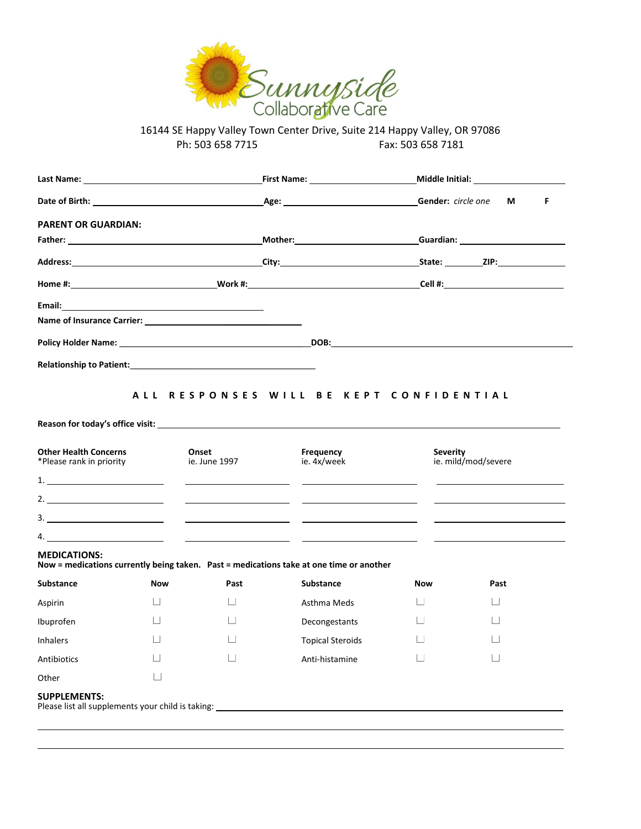

| Last Name: The contract of the contract of the contract of the contract of the contract of the contract of the |          |                                         | First Name: Name and Second Second Second Second Second Second Second Second Second Second Second Second Second Second Second Second Second Second Second Second Second Second Second Second Second Second Second Second Secon | Middle Initial: Nicolas Communications |                     |  |  |  |
|----------------------------------------------------------------------------------------------------------------|----------|-----------------------------------------|--------------------------------------------------------------------------------------------------------------------------------------------------------------------------------------------------------------------------------|----------------------------------------|---------------------|--|--|--|
|                                                                                                                |          |                                         |                                                                                                                                                                                                                                | Gender: circle one<br>F<br>М           |                     |  |  |  |
| <b>PARENT OR GUARDIAN:</b>                                                                                     |          |                                         |                                                                                                                                                                                                                                |                                        |                     |  |  |  |
|                                                                                                                |          |                                         |                                                                                                                                                                                                                                |                                        |                     |  |  |  |
|                                                                                                                |          |                                         |                                                                                                                                                                                                                                |                                        |                     |  |  |  |
|                                                                                                                |          |                                         |                                                                                                                                                                                                                                |                                        |                     |  |  |  |
|                                                                                                                |          |                                         |                                                                                                                                                                                                                                |                                        |                     |  |  |  |
|                                                                                                                |          |                                         |                                                                                                                                                                                                                                |                                        |                     |  |  |  |
|                                                                                                                |          |                                         |                                                                                                                                                                                                                                |                                        |                     |  |  |  |
|                                                                                                                |          |                                         |                                                                                                                                                                                                                                |                                        |                     |  |  |  |
|                                                                                                                |          | ALL RESPONSES WILL BE KEPT CONFIDENTIAL |                                                                                                                                                                                                                                |                                        |                     |  |  |  |
| <b>Other Health Concerns</b>                                                                                   |          | Onset                                   | Frequency                                                                                                                                                                                                                      | <b>Severity</b>                        |                     |  |  |  |
|                                                                                                                |          | ie. June 1997                           | ie. 4x/week                                                                                                                                                                                                                    |                                        | ie. mild/mod/severe |  |  |  |
|                                                                                                                |          |                                         |                                                                                                                                                                                                                                |                                        |                     |  |  |  |
| *Please rank in priority<br>$1.$ $\qquad \qquad$                                                               |          |                                         | <u> The Communication of the Communication of the Communication of the Communication of the Communication of the Co</u>                                                                                                        |                                        |                     |  |  |  |
|                                                                                                                |          |                                         |                                                                                                                                                                                                                                |                                        |                     |  |  |  |
|                                                                                                                |          |                                         | Now = medications currently being taken.  Past = medications take at one time or another                                                                                                                                       |                                        |                     |  |  |  |
|                                                                                                                | Now      | Past                                    | <b>Substance</b>                                                                                                                                                                                                               | <b>Now</b>                             | Past                |  |  |  |
|                                                                                                                | $\Box$   | $\Box$                                  | Asthma Meds                                                                                                                                                                                                                    | $\Box$                                 | ш                   |  |  |  |
| 4.<br><b>MEDICATIONS:</b><br><b>Substance</b><br>Aspirin<br>Ibuprofen                                          | $\Box$   | $\Box$                                  | Decongestants                                                                                                                                                                                                                  | ш                                      |                     |  |  |  |
|                                                                                                                | $\Box$ . | $\Box$                                  | <b>Topical Steroids</b>                                                                                                                                                                                                        | $\Box$                                 | $\Box$              |  |  |  |
| Inhalers<br>Antibiotics                                                                                        |          | $\Box$                                  | Anti-histamine                                                                                                                                                                                                                 | ⊔                                      | ⊔                   |  |  |  |

 $\overline{\phantom{0}}$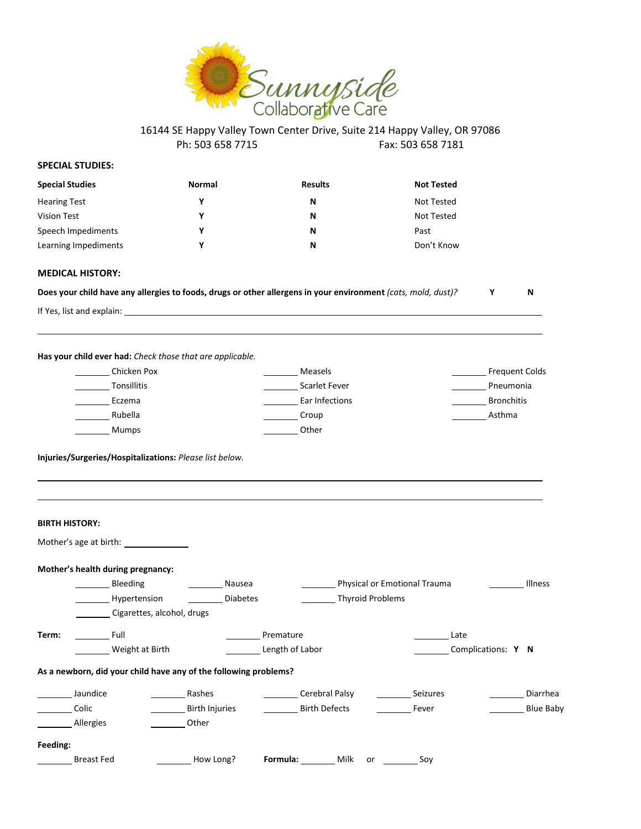

#### **SPECIAL STUDIES:**

| <b>Special Studies</b> | <b>Normal</b> | <b>Results</b> | <b>Not Tested</b> |
|------------------------|---------------|----------------|-------------------|
| <b>Hearing Test</b>    | v             | N              | Not Tested        |
| Vision Test            | v             | N              | Not Tested        |
| Speech Impediments     | ν             | N              | Past              |
| Learning Impediments   | v             | N              | Don't Know        |

#### **MEDICAL HISTORY:**

| Does your child have any allergies to foods, drugs or other allergens in your environment (cats, mold, dust)? |  |  |  |  |  |
|---------------------------------------------------------------------------------------------------------------|--|--|--|--|--|
|---------------------------------------------------------------------------------------------------------------|--|--|--|--|--|

If Yes, list and explain:

 $\overline{a}$ 

 $\overline{\phantom{0}}$ 

**Has your child ever had:** *Check those that are applicable.*

| Chicken Pox        | Measels              | <b>Frequent Colds</b> |
|--------------------|----------------------|-----------------------|
| <b>Tonsillitis</b> | <b>Scarlet Fever</b> | Pneumonia             |
| Eczema             | Ear Infections       | <b>Bronchitis</b>     |
| Rubella            | Croup                | Asthma                |
| Mumps              | Other                |                       |

**Injuries/Surgeries/Hospitalizations:** *Please list below.*

|          | <b>BIRTH HISTORY:</b>                                            |                 |                      |                                                                                                                                                                                                                                                                                                                                                       |                    |                  |
|----------|------------------------------------------------------------------|-----------------|----------------------|-------------------------------------------------------------------------------------------------------------------------------------------------------------------------------------------------------------------------------------------------------------------------------------------------------------------------------------------------------|--------------------|------------------|
|          | Mother's age at birth: _______________                           |                 |                      |                                                                                                                                                                                                                                                                                                                                                       |                    |                  |
|          | Mother's health during pregnancy:                                |                 |                      |                                                                                                                                                                                                                                                                                                                                                       |                    |                  |
|          | Bleeding                                                         | Nausea          |                      | Physical or Emotional Trauma                                                                                                                                                                                                                                                                                                                          |                    | Illness          |
|          | Hypertension                                                     | <b>Diabetes</b> |                      | Thyroid Problems                                                                                                                                                                                                                                                                                                                                      |                    |                  |
|          | Cigarettes, alcohol, drugs                                       |                 |                      |                                                                                                                                                                                                                                                                                                                                                       |                    |                  |
| Term:    | <b>Eull</b>                                                      |                 | Premature            |                                                                                                                                                                                                                                                                                                                                                       | Late               |                  |
|          | Weight at Birth                                                  |                 | Length of Labor      |                                                                                                                                                                                                                                                                                                                                                       | Complications: Y N |                  |
|          | As a newborn, did your child have any of the following problems? |                 |                      |                                                                                                                                                                                                                                                                                                                                                       |                    |                  |
|          | Jaundice                                                         | Rashes          | Cerebral Palsy       |                                                                                                                                                                                                                                                                                                                                                       | Seizures           | Diarrhea         |
|          | Colic                                                            | Birth Injuries  | <b>Birth Defects</b> |                                                                                                                                                                                                                                                                                                                                                       | Fever              | <b>Blue Baby</b> |
|          | Allergies                                                        | Other           |                      |                                                                                                                                                                                                                                                                                                                                                       |                    |                  |
| Feeding: |                                                                  |                 |                      |                                                                                                                                                                                                                                                                                                                                                       |                    |                  |
|          | <b>Breast Fed</b>                                                | How Long?       | <b>Formula:</b> Milk | $or$ and $\overline{or}$ and $\overline{or}$ and $\overline{or}$ and $\overline{or}$ and $\overline{or}$ and $\overline{or}$ and $\overline{or}$ and $\overline{or}$ and $\overline{or}$ and $\overline{or}$ and $\overline{or}$ and $\overline{or}$ and $\overline{or}$ and $\overline{or}$ and $\overline{or}$ and $\overline{or}$ and $\overline{$ | Soy                |                  |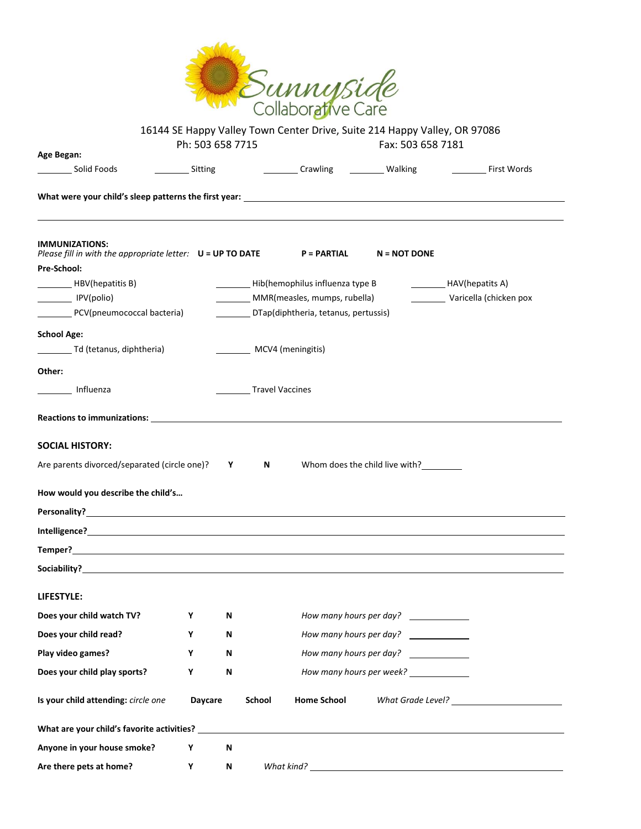

|                                                                                                                                                                                                                               | Ph: 503 658 7715 |        | 16144 SE Happy Valley Town Center Drive, Suite 214 Happy Valley, OR 97086                                                                                                                                                                 | Fax: 503 658 7181                                 |                              |
|-------------------------------------------------------------------------------------------------------------------------------------------------------------------------------------------------------------------------------|------------------|--------|-------------------------------------------------------------------------------------------------------------------------------------------------------------------------------------------------------------------------------------------|---------------------------------------------------|------------------------------|
| Age Began:<br>Solid Foods<br><b>Example 21 Sitting</b>                                                                                                                                                                        |                  |        | <b>Example 10</b> Crawling <b>Constant Constant Constant Constant Constant Constant Constant Constant Constant Constant Constant Constant Constant Constant Constant Constant Constant Constant Constant Constant Constant Constant C</b> |                                                   | <b>Example 2 First Words</b> |
|                                                                                                                                                                                                                               |                  |        |                                                                                                                                                                                                                                           |                                                   |                              |
|                                                                                                                                                                                                                               |                  |        |                                                                                                                                                                                                                                           |                                                   |                              |
| <b>IMMUNIZATIONS:</b><br>Please fill in with the appropriate letter: $U = UP TO DATE$ P = PARTIAL N = NOT DONE                                                                                                                |                  |        |                                                                                                                                                                                                                                           |                                                   |                              |
| Pre-School:                                                                                                                                                                                                                   |                  |        |                                                                                                                                                                                                                                           |                                                   |                              |
| HBV(hepatitis B)                                                                                                                                                                                                              |                  |        | Hib(hemophilus influenza type B                                                                                                                                                                                                           |                                                   | HAV(hepatits A)              |
| IPV(polio)                                                                                                                                                                                                                    |                  |        | MMR(measles, mumps, rubella)                                                                                                                                                                                                              |                                                   | Varicella (chicken pox       |
| PCV(pneumococcal bacteria)                                                                                                                                                                                                    |                  |        | DTap(diphtheria, tetanus, pertussis)                                                                                                                                                                                                      |                                                   |                              |
| <b>School Age:</b>                                                                                                                                                                                                            |                  |        |                                                                                                                                                                                                                                           |                                                   |                              |
| Td (tetanus, diphtheria)                                                                                                                                                                                                      |                  |        | MCV4 (meningitis)                                                                                                                                                                                                                         |                                                   |                              |
| Other:                                                                                                                                                                                                                        |                  |        |                                                                                                                                                                                                                                           |                                                   |                              |
| Influenza                                                                                                                                                                                                                     |                  |        | <b>Travel Vaccines</b>                                                                                                                                                                                                                    |                                                   |                              |
|                                                                                                                                                                                                                               |                  |        |                                                                                                                                                                                                                                           |                                                   |                              |
| <b>SOCIAL HISTORY:</b>                                                                                                                                                                                                        |                  |        |                                                                                                                                                                                                                                           |                                                   |                              |
| Are parents divorced/separated (circle one)? Y                                                                                                                                                                                |                  |        | $N$ and $N$                                                                                                                                                                                                                               | Whom does the child live with?                    |                              |
|                                                                                                                                                                                                                               |                  |        |                                                                                                                                                                                                                                           |                                                   |                              |
| How would you describe the child's                                                                                                                                                                                            |                  |        |                                                                                                                                                                                                                                           |                                                   |                              |
|                                                                                                                                                                                                                               |                  |        |                                                                                                                                                                                                                                           |                                                   |                              |
|                                                                                                                                                                                                                               |                  |        |                                                                                                                                                                                                                                           |                                                   |                              |
|                                                                                                                                                                                                                               |                  |        |                                                                                                                                                                                                                                           |                                                   |                              |
| LIFESTYLE:                                                                                                                                                                                                                    |                  |        |                                                                                                                                                                                                                                           |                                                   |                              |
| Does your child watch TV?                                                                                                                                                                                                     | Υ                | Ν      |                                                                                                                                                                                                                                           | How many hours per day?                           |                              |
| Does your child read?                                                                                                                                                                                                         | Υ                | Ν      |                                                                                                                                                                                                                                           | How many hours per day?                           |                              |
| Play video games?                                                                                                                                                                                                             | Υ                | Ν      |                                                                                                                                                                                                                                           | How many hours per day? ______________            |                              |
| Does your child play sports?                                                                                                                                                                                                  | Υ                | N      |                                                                                                                                                                                                                                           | How many hours per week? ______________           |                              |
| Is your child attending: circle one                                                                                                                                                                                           | Daycare          | School | <b>Home School</b>                                                                                                                                                                                                                        |                                                   |                              |
| What are your child's favorite activities? Department of the control of the control of the control of the control of the control of the control of the control of the control of the control of the control of the control of |                  |        |                                                                                                                                                                                                                                           |                                                   |                              |
| Anyone in your house smoke?                                                                                                                                                                                                   | Υ                | Ν      |                                                                                                                                                                                                                                           |                                                   |                              |
| Are there pets at home?                                                                                                                                                                                                       | Υ                | N      | What kind?                                                                                                                                                                                                                                | <u> 1989 - Johann Barn, mars et al. (b. 1989)</u> |                              |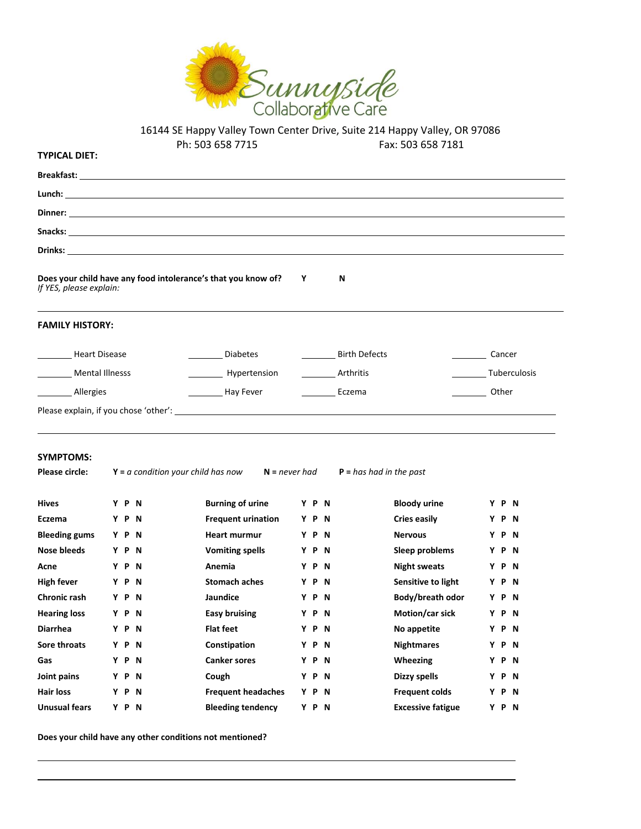

| <b>TYPICAL DIET:</b>               |       | 111' הרו סרט כמר                                              |   |       |           | <b>1 av.</b> 202 020 1 TOT |               |              |
|------------------------------------|-------|---------------------------------------------------------------|---|-------|-----------|----------------------------|---------------|--------------|
|                                    |       |                                                               |   |       |           |                            |               |              |
|                                    |       |                                                               |   |       |           |                            |               |              |
|                                    |       |                                                               |   |       |           |                            |               |              |
|                                    |       |                                                               |   |       |           |                            |               |              |
|                                    |       |                                                               |   |       |           |                            |               |              |
| If YES, please explain:            |       | Does your child have any food intolerance's that you know of? | Υ |       | N         |                            |               |              |
| <b>FAMILY HISTORY:</b>             |       |                                                               |   |       |           |                            |               |              |
| <b>Heart Disease</b>               |       | <b>Diabetes</b>                                               |   |       |           | <b>Birth Defects</b>       | <b>Cancer</b> |              |
| Mental Illnesss                    |       | Hypertension                                                  |   |       | Arthritis |                            |               | Tuberculosis |
| _Allergies                         |       | Hay Fever                                                     |   |       | Eczema    |                            | <b>Other</b>  |              |
|                                    |       |                                                               |   |       |           |                            |               |              |
| <b>SYMPTOMS:</b><br>Please circle: |       | $Y = a$ condition your child has now<br>$N = never had$       |   |       |           | $P = has had in the past$  |               |              |
| <b>Hives</b>                       | Y P N | <b>Burning of urine</b>                                       |   | Y P N |           | <b>Bloody urine</b>        |               | Y P N        |
| Eczema                             | Y P N | <b>Frequent urination</b>                                     |   | Y P N |           | <b>Cries easily</b>        |               | Y P N        |
| <b>Bleeding gums</b>               | Y P N | <b>Heart murmur</b>                                           |   | Y P N |           | <b>Nervous</b>             |               | Y P N        |
| <b>Nose bleeds</b>                 | Y P N | <b>Vomiting spells</b>                                        |   | Y P N |           | Sleep problems             |               | Y P N        |
| Acne                               | Y P N | Anemia                                                        |   | Y P N |           | <b>Night sweats</b>        |               | Y P N        |
| <b>High fever</b>                  | Y P N | <b>Stomach aches</b>                                          |   | Y P N |           | Sensitive to light         |               | Y P N        |
| <b>Chronic rash</b>                | Y P N | Jaundice                                                      |   | Y P N |           | Body/breath odor           |               | Y P N        |
| <b>Hearing loss</b>                | Y P N | <b>Easy bruising</b>                                          |   | Y P N |           | Motion/car sick            |               | Y P N        |
| <b>Diarrhea</b>                    | Y P N | <b>Flat feet</b>                                              |   | Y P N |           | No appetite                |               | Y P N        |

**Sore throats Y P N Constipation Y P N Nightmares Y P N Gas Y P N Canker sores Y P N Wheezing Y P N Joint pains Y P N Cough Y P N Dizzy spells Y P N Hair loss Y P N Frequent headaches Y P N Frequent colds Y P N Unusual fears Y P N Bleeding tendency Y P N Excessive fatigue Y P N**

**Does your child have any other conditions not mentioned?**

l l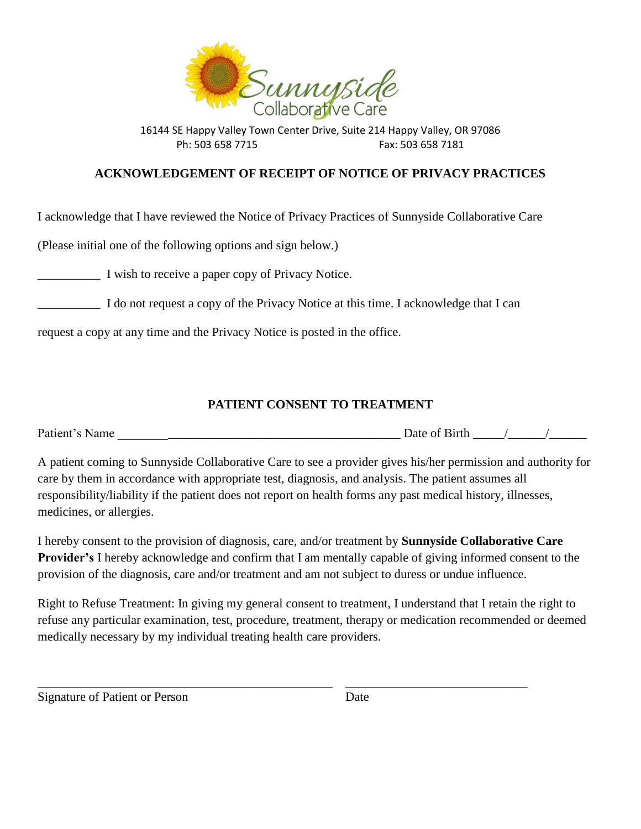

## **ACKNOWLEDGEMENT OF RECEIPT OF NOTICE OF PRIVACY PRACTICES**

I acknowledge that I have reviewed the Notice of Privacy Practices of Sunnyside Collaborative Care

(Please initial one of the following options and sign below.)

\_\_\_\_\_\_\_\_\_\_ I wish to receive a paper copy of Privacy Notice.

\_\_\_\_\_\_\_\_\_\_ I do not request a copy of the Privacy Notice at this time. I acknowledge that I can

request a copy at any time and the Privacy Notice is posted in the office.

## **PATIENT CONSENT TO TREATMENT**

Patient's Name \_\_\_\_\_\_\_\_\_\_\_\_\_\_\_\_\_\_\_\_\_\_\_\_\_\_\_\_\_\_\_\_\_\_\_\_\_\_\_\_\_\_\_\_\_ Date of Birth \_\_\_\_\_/\_\_\_\_\_\_/\_\_\_\_\_\_

A patient coming to Sunnyside Collaborative Care to see a provider gives his/her permission and authority for care by them in accordance with appropriate test, diagnosis, and analysis. The patient assumes all responsibility/liability if the patient does not report on health forms any past medical history, illnesses, medicines, or allergies.

I hereby consent to the provision of diagnosis, care, and/or treatment by **Sunnyside Collaborative Care Provider's** I hereby acknowledge and confirm that I am mentally capable of giving informed consent to the provision of the diagnosis, care and/or treatment and am not subject to duress or undue influence.

Right to Refuse Treatment: In giving my general consent to treatment, I understand that I retain the right to refuse any particular examination, test, procedure, treatment, therapy or medication recommended or deemed medically necessary by my individual treating health care providers.

\_\_\_\_\_\_\_\_\_\_\_\_\_\_\_\_\_\_\_\_\_\_\_\_\_\_\_\_\_\_\_\_\_\_\_\_\_\_\_\_\_\_\_\_\_\_\_ \_\_\_\_\_\_\_\_\_\_\_\_\_\_\_\_\_\_\_\_\_\_\_\_\_\_\_\_\_

Signature of Patient or Person Date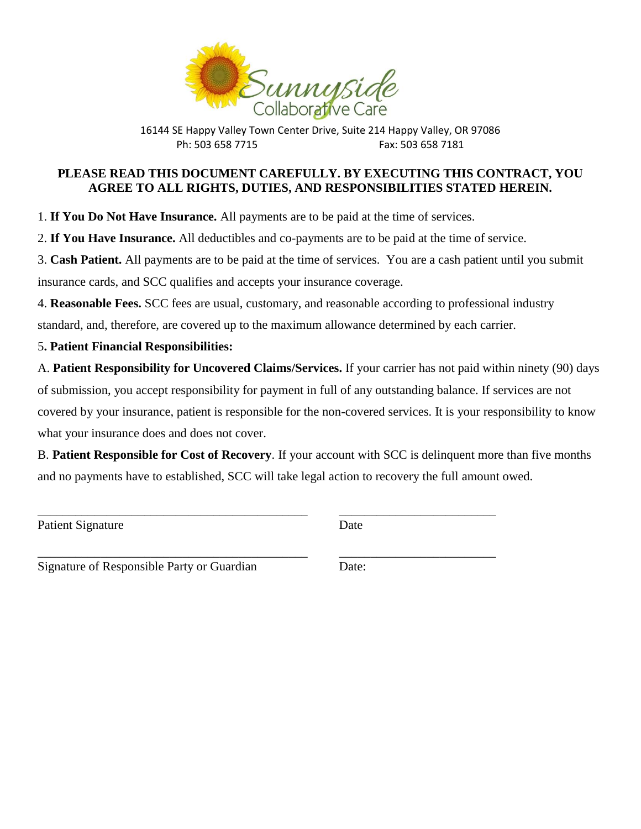

## **PLEASE READ THIS DOCUMENT CAREFULLY. BY EXECUTING THIS CONTRACT, YOU AGREE TO ALL RIGHTS, DUTIES, AND RESPONSIBILITIES STATED HEREIN.**

1. **If You Do Not Have Insurance.** All payments are to be paid at the time of services.

2. **If You Have Insurance.** All deductibles and co-payments are to be paid at the time of service.

3. **Cash Patient.** All payments are to be paid at the time of services. You are a cash patient until you submit insurance cards, and SCC qualifies and accepts your insurance coverage.

4. **Reasonable Fees.** SCC fees are usual, customary, and reasonable according to professional industry standard, and, therefore, are covered up to the maximum allowance determined by each carrier.

5**. Patient Financial Responsibilities:**

A. **Patient Responsibility for Uncovered Claims/Services.** If your carrier has not paid within ninety (90) days of submission, you accept responsibility for payment in full of any outstanding balance. If services are not covered by your insurance, patient is responsible for the non-covered services. It is your responsibility to know what your insurance does and does not cover.

B. **Patient Responsible for Cost of Recovery**. If your account with SCC is delinquent more than five months and no payments have to established, SCC will take legal action to recovery the full amount owed.

\_\_\_\_\_\_\_\_\_\_\_\_\_\_\_\_\_\_\_\_\_\_\_\_\_\_\_\_\_\_\_\_\_\_\_\_\_\_\_\_\_\_\_ \_\_\_\_\_\_\_\_\_\_\_\_\_\_\_\_\_\_\_\_\_\_\_\_\_

Patient Signature Date

\_\_\_\_\_\_\_\_\_\_\_\_\_\_\_\_\_\_\_\_\_\_\_\_\_\_\_\_\_\_\_\_\_\_\_\_\_\_\_\_\_\_\_ \_\_\_\_\_\_\_\_\_\_\_\_\_\_\_\_\_\_\_\_\_\_\_\_\_

Signature of Responsible Party or Guardian Date: